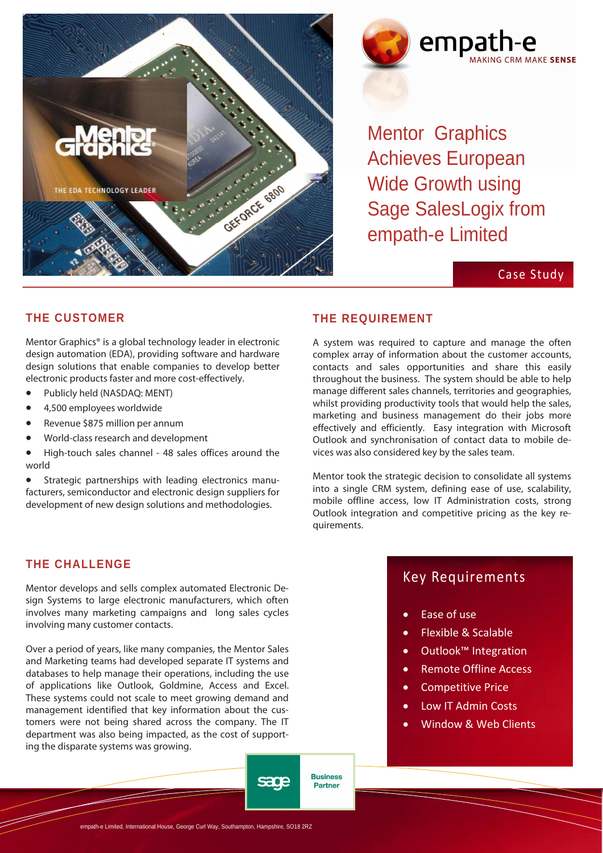



Mentor Graphics Achieves European Wide Growth using Sage SalesLogix from empath-e Limited

### Case Study

### **THE CUSTOMER**

Mentor Graphics® is a global technology leader in electronic design automation (EDA), providing software and hardware design solutions that enable companies to develop better electronic products faster and more cost-effectively.

- Publicly held (NASDAQ: MENT)
- 4,500 employees worldwide
- Revenue \$875 million per annum
- World-class research and development
- High-touch sales channel 48 sales offices around the world

• Strategic partnerships with leading electronics manufacturers, semiconductor and electronic design suppliers for development of new design solutions and methodologies.

#### **THE REQUIREMENT**

A system was required to capture and manage the often complex array of information about the customer accounts. contacts and sales opportunities and share this easily throughout the business. The system should be able to help manage different sales channels, territories and geographies, whilst providing productivity tools that would help the sales, marketing and business management do their jobs more effectively and efficiently. Easy integration with Microsoft Outlook and synchronisation of contact data to mobile devices was also considered key by the sales team.

Mentor took the strategic decision to consolidate all systems into a single CRM system, defining ease of use, scalability, mobile offline access, low IT Administration costs, strong Outlook integration and competitive pricing as the key requirements.

### **THE CHALLENGE**

Mentor develops and sells complex automated Electronic Design Systems to large electronic manufacturers, which often involves many marketing campaigns and long sales cycles involving many customer contacts.

Over a period of years, like many companies, the Mentor Sales and Marketing teams had developed separate IT systems and databases to help manage their operations, including the use of applications like Outlook, Goldmine, Access and Excel. These systems could not scale to meet growing demand and management identified that key information about the customers were not being shared across the company. The IT department was also being impacted, as the cost of supporting the disparate systems was growing.

## Key Requirements

- **Ease of use**
- Flexible & Scalable
- Outlook™ Integration
- x Remote Offline Access
- **Competitive Price**
- x Low IT Admin Costs
- Window & Web Clients

**Business Partner** 

sace